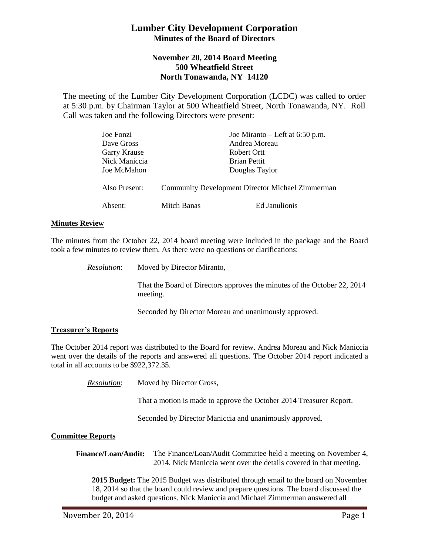# **Lumber City Development Corporation Minutes of the Board of Directors**

## **November 20, 2014 Board Meeting 500 Wheatfield Street North Tonawanda, NY 14120**

The meeting of the Lumber City Development Corporation (LCDC) was called to order at 5:30 p.m. by Chairman Taylor at 500 Wheatfield Street, North Tonawanda, NY. Roll Call was taken and the following Directors were present:

| Joe Fonzi     |             | Joe Miranto – Left at $6:50$ p.m.                       |
|---------------|-------------|---------------------------------------------------------|
| Dave Gross    |             | Andrea Moreau                                           |
| Garry Krause  |             | Robert Ortt                                             |
| Nick Maniccia |             | <b>Brian Pettit</b>                                     |
| Joe McMahon   |             | Douglas Taylor                                          |
| Also Present: |             | <b>Community Development Director Michael Zimmerman</b> |
| Absent:       | Mitch Banas | Ed Janulionis                                           |

## **Minutes Review**

The minutes from the October 22, 2014 board meeting were included in the package and the Board took a few minutes to review them. As there were no questions or clarifications:

> *Resolution*: Moved by Director Miranto, That the Board of Directors approves the minutes of the October 22, 2014 meeting.

> > Seconded by Director Moreau and unanimously approved.

## **Treasurer's Reports**

The October 2014 report was distributed to the Board for review. Andrea Moreau and Nick Maniccia went over the details of the reports and answered all questions. The October 2014 report indicated a total in all accounts to be \$922,372.35.

*Resolution*: Moved by Director Gross,

That a motion is made to approve the October 2014 Treasurer Report.

Seconded by Director Maniccia and unanimously approved.

## **Committee Reports**

**Finance/Loan/Audit:** The Finance/Loan/Audit Committee held a meeting on November 4, 2014. Nick Maniccia went over the details covered in that meeting.

**2015 Budget:** The 2015 Budget was distributed through email to the board on November 18, 2014 so that the board could review and prepare questions. The board discussed the budget and asked questions. Nick Maniccia and Michael Zimmerman answered all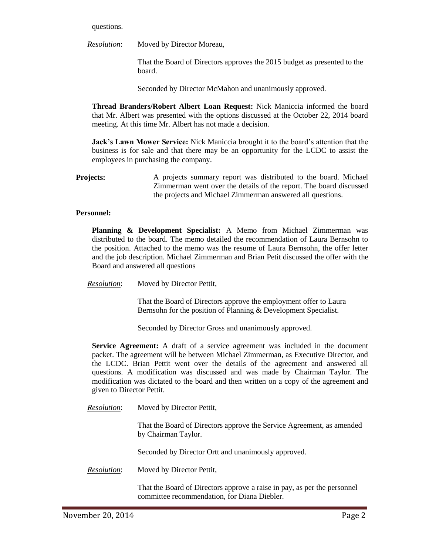questions.

*Resolution*: Moved by Director Moreau,

That the Board of Directors approves the 2015 budget as presented to the board.

Seconded by Director McMahon and unanimously approved.

**Thread Branders/Robert Albert Loan Request:** Nick Maniccia informed the board that Mr. Albert was presented with the options discussed at the October 22, 2014 board meeting. At this time Mr. Albert has not made a decision.

**Jack's Lawn Mower Service:** Nick Maniccia brought it to the board's attention that the business is for sale and that there may be an opportunity for the LCDC to assist the employees in purchasing the company.

**Projects:** A projects summary report was distributed to the board. Michael Zimmerman went over the details of the report. The board discussed the projects and Michael Zimmerman answered all questions.

#### **Personnel:**

**Planning & Development Specialist:** A Memo from Michael Zimmerman was distributed to the board. The memo detailed the recommendation of Laura Bernsohn to the position. Attached to the memo was the resume of Laura Bernsohn, the offer letter and the job description. Michael Zimmerman and Brian Petit discussed the offer with the Board and answered all questions

*Resolution*: Moved by Director Pettit,

That the Board of Directors approve the employment offer to Laura Bernsohn for the position of Planning & Development Specialist.

Seconded by Director Gross and unanimously approved.

**Service Agreement:** A draft of a service agreement was included in the document packet. The agreement will be between Michael Zimmerman, as Executive Director, and the LCDC. Brian Pettit went over the details of the agreement and answered all questions. A modification was discussed and was made by Chairman Taylor. The modification was dictated to the board and then written on a copy of the agreement and given to Director Pettit.

*Resolution*: Moved by Director Pettit,

That the Board of Directors approve the Service Agreement, as amended by Chairman Taylor.

Seconded by Director Ortt and unanimously approved.

*Resolution*: Moved by Director Pettit,

That the Board of Directors approve a raise in pay, as per the personnel committee recommendation, for Diana Diebler.